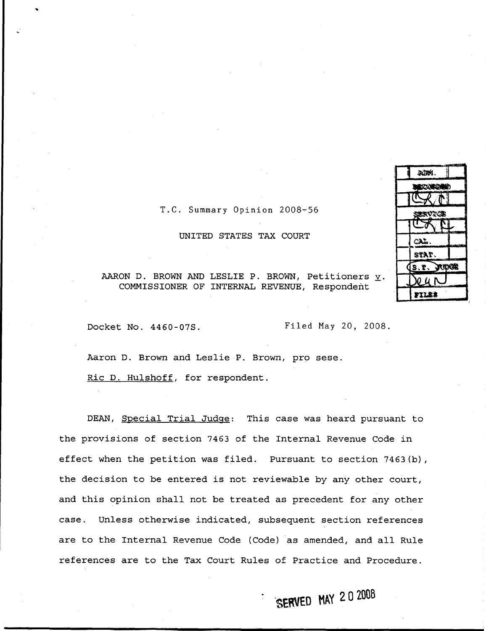| AUM.            |      |
|-----------------|------|
| <b>BECORDED</b> |      |
| スパー             |      |
| <b>LRVTOE</b>   |      |
|                 |      |
| CAL             |      |
| STAT.           |      |
| (s. r.          | JDGR |
| ICU N           |      |
| rillis          |      |

### T.C. Summary Opinion 2008-56

#### UNITED STATES TAX COURT

AARON D. BROWN AND LESLIE P. BROWN, Petitioners  $\underline{v}$ . COMMISSIONER OF INTERNAL REVENUE, Respondent

Docket No. 4460-07S. Filed May 20, 2008.

Aaron D. Brown and Leslie P. Brown, pro sese. Ric D. Hulshoff, for respondent.

DEAN, Special Trial Judge: This case was heard pursuant to the provisions of section 7463 of the Internal Revenue Code in effect when the petition was filed. Pursuant to section  $7463(b)$ , the decision to be entered is not reviewable by any other court, and this opinion shall not be treated as precedent for any other case. Unless otherwise indicated, subsequent section references are to the Internal Revenue Code (Code) as amended, and all Rule references are to the Tax Court Rules of Practice and Procedure .

SERVED MAY 2 0 2008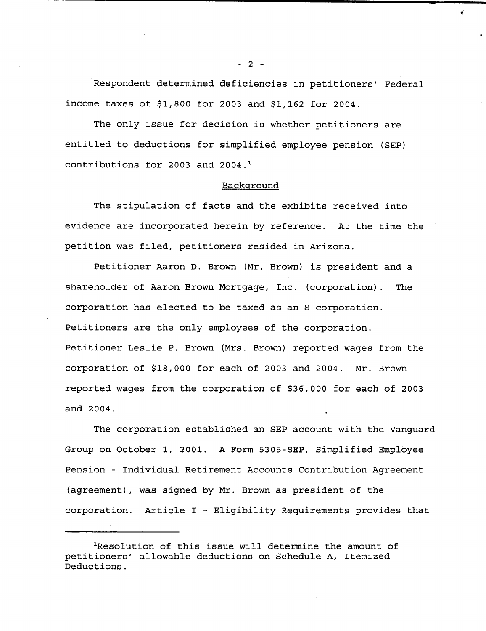**Respondent determined deficiencies in petitioners** ' **Federal income taxes of \$1,800 for 2003 and \$1,162 for 2004 .**

**The only issue for decision is whether petitioners are entitled to deductions for simplified employee pension (SEP) contributions for 2003 and 2004 . <sup>1</sup>**

#### **Background**

**The stipulation of facts and the exhibits received into evidence are incorporated herein by reference** . **At the time the petition was filed** , **petitioners resided in Arizona .**

**Petitioner Aaron D . Brown** ( **Mr . Brown** ) **is president and a shareholder of Aaron Brown Mortgage** , **Inc . (corporation) . The corporation has elected to be taxed as an S corporation .** Petitioners are the only employees of the corporation. **Petitioner Leslie P . Brown** ( **Mrs . Brown**) **reported wages from the corporation of \$18,000 for each of 2003 and 2004 . Mr . Brown reported wages from the corporation of \$36,000 for each of 2003 and .2004 .**

**The corporation established an SEP account with the Vanguard Group on October 1, 2001 . A Form 5305-SEP** , **Simplified Employee Pension - Individual Retirement Accounts Contribution Agreement (agreement** ), **was signed by Mr . Brown as president of the corporation** . **Article I** - **Eligibility Requirements provides tha t**

**2 -**

**<sup>&#</sup>x27;Resolution of this issue will determine the amount of petitioners** ' **allowable deductions on Schedule A, Itemized Deductions .**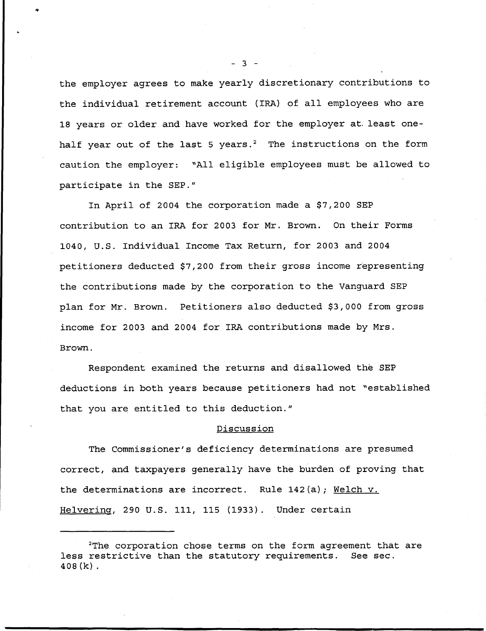the employer agrees to make yearly discretionary contributions to the individual retirement account (IRA) of all employees who are 18 years or older and have worked for the employer at . least onehalf year out of the last 5 years.<sup>2</sup> The instructions on the form caution the employer: "All eligible employees must be allowed to participate in the SEP."

In April of 2004 the corporation made a \$7,200 SEP contribution to an IRA for 2003 for Mr. Brown. On their Forms 1040, U .S . Individual Income Tax Return, for 2003 and 2004 petitioners deducted \$7,200 from their gross income representing the contributions made by the corporation to the Vanguard SEP plan for Mr. Brown. Petitioners also deducted \$3,000 from gross income for 2003 and 2004 for IRA contributions made by Mrs . Brown .

Respondent examined the returns and disallowed the SEP deductions in both years because petitioners had not "established that you are entitled to this deduction."

## Discussion

The Commissioner's deficiency determinations are presumed correct, and taxpayers generally have the burden of proving that the determinations are incorrect. Rule  $142(a)$ ; Welch v. Helvering, 290 U.S. 111, 115 (1933). Under certain

 $-3 -$ 

**i**

<sup>2</sup>The corporation chose terms on the form agreement that are less restrictive than the statutory requirements . **See sec .** 408(k) .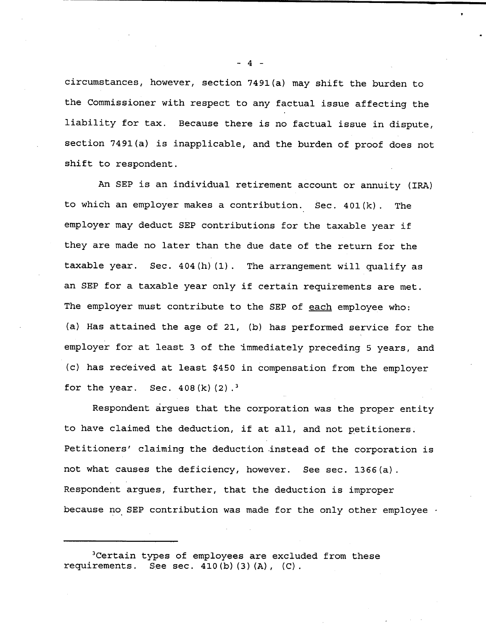circumstances, however, section 7491(a) may shift the burden to the Commissioner with respect to any factual issue affecting the liability for tax. Because there is no factual issue in dispute, section 7491(a) is inapplicable, and the burden of proof does not shift to respondent .

An SEP is an individual retirement account or annuity (IRA) to which an employer makes a contribution . Sec . 401(k) . The employer may deduct SEP contributions for the taxable year if they are made no later than the due date of the return for the taxable year. Sec.  $404(h)(1)$ . The arrangement will qualify as an SEP for a taxable year only if certain requirements are met . The employer must contribute to the SEP of each employee who: (a) Has attained the age of 21, (b) has performed service for the employer for at least 3 of the immediately preceding 5 years, and (c) has received at least \$450 in compensation from the employer for the year. Sec.  $408(k)(2)$ .<sup>3</sup>

Respondent argues that the corporation was the proper entity to have claimed the deduction, if at all, and not petitioners . Petitioners' claiming the deduction instead of the corporation is not what causes the deficiency, however. See sec. 1366(a). Respondent argues, further, that the deduction is improper because no SEP contribution was made for the only other employee  $\cdot$ 

3Certain **types of employees are excluded from these requirements** . **See sec . 410** (b)(3)(A), (C) .

- 4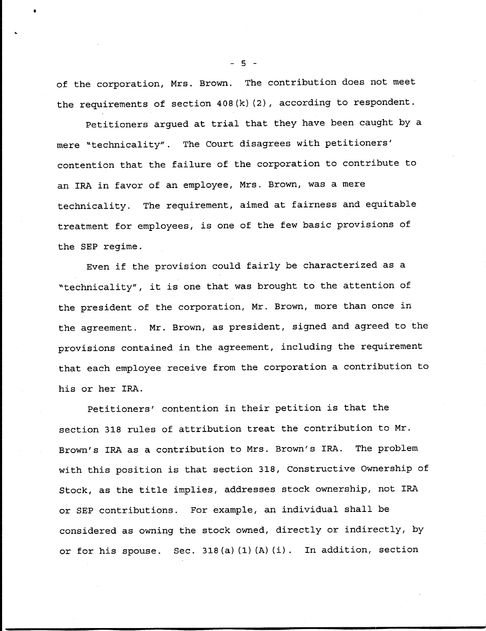of the corporation, Mrs. Brown. The contribution does not meet the requirements of section 408(k)(2), according to respondent .

Petitioners argued at trial that they have been caught by a mere "technicality" . The Court disagrees with petitioners' contention that the failure of the corporation to contribute to an IRA in favor of an employee, Mrs. Brown, was a mere technicality. The requirement, aimed at fairness and equitable treatment for employees, is one of the few basic provisions of the SEP regime .

Even if the provision could fairly be characterized as a "technicality", it is one that was brought to the attention of the president of the corporation, Mr. Brown, more than once in the agreement. Mr. Brown, as president, signed and agreed to the provisions contained in the agreement, including the requirement that each employee receive from the corporation a contribution to his or her IRA.

Petitioners' contention in their petition is that the section 318 rules of attribution treat the contribution to Mr . Brown's IRA as a contribution to Mrs. Brown's IRA. The problem with this position is that section 318, Constructive Ownership of Stock, as the title implies, addresses stock ownership, not IRA or SEP contributions. For example, an individual shall be considered as owning the stock owned, directly or indirectly, by or for his spouse. Sec. 318(a)(1)(A)(i). In addition, section

 $-5 -$